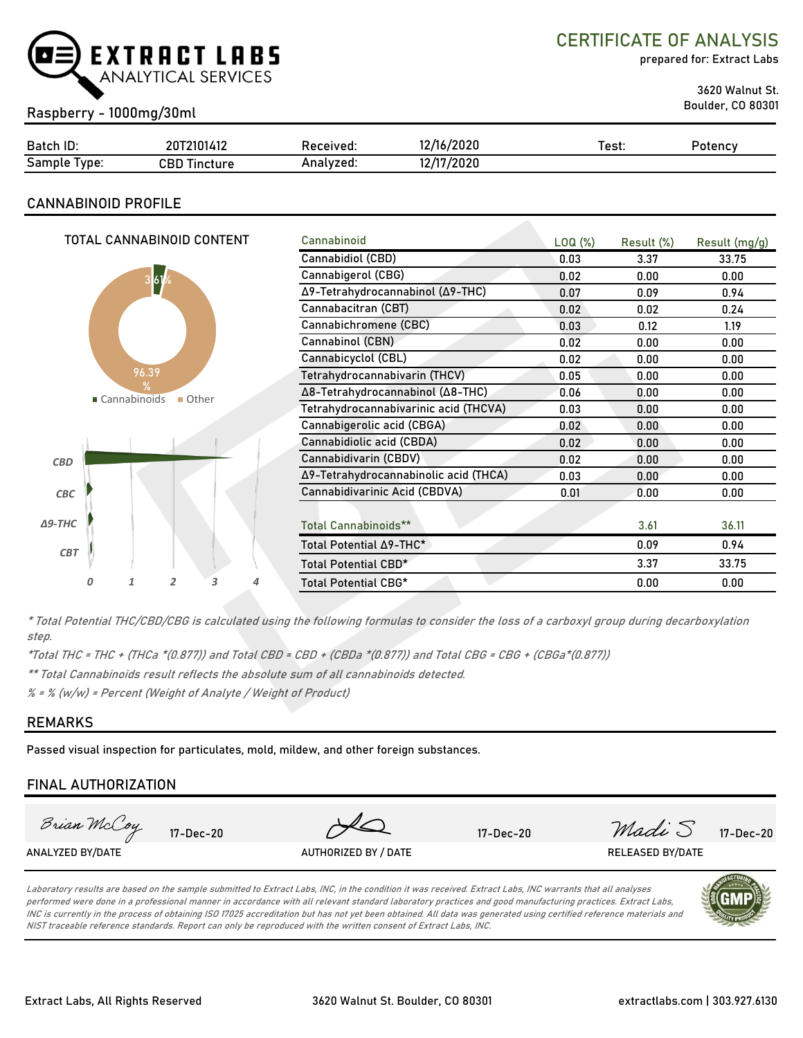

CERTIFICATE OF ANALYSIS

prepared for: Extract Labs

3620 Walnut St.

## Boulder, CO 80301 Raspberry - 1000mg/30ml

| Batch ID:       | 20T2101412          | Received: | 12/16/2020 | Test: | Potency |
|-----------------|---------------------|-----------|------------|-------|---------|
| Sample<br>Type: | <b>CBD Tincture</b> | Analyzed: | 12/17/2020 |       |         |

### **CANNABINOID PROFILE**

|                                          | TOTAL CANNABINOID CONTENT |                                       |                       |                                       |                      | Cannabinoid                      | LOQ (%) |            |               |
|------------------------------------------|---------------------------|---------------------------------------|-----------------------|---------------------------------------|----------------------|----------------------------------|---------|------------|---------------|
|                                          |                           |                                       |                       |                                       |                      |                                  |         | Result (%) | Result (mg/g) |
|                                          |                           |                                       |                       |                                       |                      | Cannabidiol (CBD)                | 0.03    | 3.37       | 33.75         |
|                                          |                           | 3 <b>61</b>                           |                       |                                       |                      | Cannabigerol (CBG)               | 0.02    | 0.00       | 0.00          |
|                                          |                           |                                       |                       |                                       |                      | Δ9-Tetrahydrocannabinol (Δ9-THC) | 0.07    | 0.09       | 0.94          |
|                                          |                           |                                       |                       |                                       |                      | Cannabacitran (CBT)              | 0.02    | 0.02       | 0.24          |
|                                          |                           |                                       |                       |                                       |                      | Cannabichromene (CBC)            | 0.03    | 0.12       | 1.19          |
|                                          |                           |                                       |                       |                                       |                      | Cannabinol (CBN)                 | 0.02    | 0.00       | 0.00          |
|                                          |                           |                                       |                       |                                       |                      | Cannabicyclol (CBL)              | 0.02    | 0.00       | 0.00          |
|                                          |                           | 96.39                                 |                       |                                       |                      | Tetrahydrocannabivarin (THCV)    | 0.05    | 0.00       | 0.00          |
| $\frac{9}{6}$<br>■ Cannabinoids<br>Other |                           | Δ8-Tetrahydrocannabinol (Δ8-THC)      | 0.06                  | 0.00                                  | 0.00                 |                                  |         |            |               |
|                                          |                           | Tetrahydrocannabivarinic acid (THCVA) | 0.03                  | 0.00                                  | 0.00                 |                                  |         |            |               |
|                                          |                           |                                       |                       |                                       |                      | Cannabigerolic acid (CBGA)       | 0.02    | 0.00       | 0.00          |
|                                          |                           |                                       |                       |                                       |                      | Cannabidiolic acid (CBDA)        | 0.02    | 0.00       | 0.00          |
| <b>CBD</b>                               |                           |                                       | Cannabidivarin (CBDV) | 0.02                                  | 0.00                 | 0.00                             |         |            |               |
|                                          |                           |                                       |                       | Δ9-Tetrahydrocannabinolic acid (THCA) | 0.03                 | 0.00                             | 0.00    |            |               |
| CBC                                      |                           |                                       |                       |                                       |                      | Cannabidivarinic Acid (CBDVA)    | 0.01    | 0.00       | 0.00          |
|                                          |                           |                                       |                       |                                       |                      |                                  |         |            |               |
| $\triangle$ 9-THC                        |                           |                                       |                       |                                       |                      | <b>Total Cannabinoids**</b>      |         | 3.61       | 36.11         |
| <b>CBT</b>                               |                           |                                       |                       | Total Potential ∆9-THC*               |                      | 0.09                             | 0.94    |            |               |
|                                          |                           |                                       |                       |                                       | Total Potential CBD* |                                  | 3.37    | 33.75      |               |
|                                          | 0                         | 1                                     | 2                     | 3                                     | 4                    | <b>Total Potential CBG*</b>      |         | 0.00       | 0.00          |
|                                          |                           |                                       |                       |                                       |                      |                                  |         |            |               |

\* Total Potential THC/CBD/CBG is calculated using the following formulas to consider the loss of a carboxyl group during decarboxylation step.

\*Total THC = THC + (THCa \*(0.877)) and Total CBD = CBD + (CBDa \*(0.877)) and Total CBG = CBG + (CBGa\*(0.877))

\*\* Total Cannabinoids result reflects the absolute sum of all cannabinoids detected.

% = % (w/w) = Percent (Weight of Analyte / Weight of Product)

#### **REMARKS**

Passed visual inspection for particulates, mold, mildew, and other foreign substances.

### **FINAL AUTHORIZATION**



Laboratory results are based on the sample submitted to Extract Labs, INC, in the condition it was received. Extract Labs, INC warrants that all analyses performed were done in a professional manner in accordance with all relevant standard laboratory practices and good manufacturing practices. Extract Labs, INC is currently in the process of obtaining ISO 17025 accreditation but has not yet been obtained. All data was generated using certified reference materials and NIST traceable reference standards. Report can only be reproduced with the written consent of Extract Labs, INC.

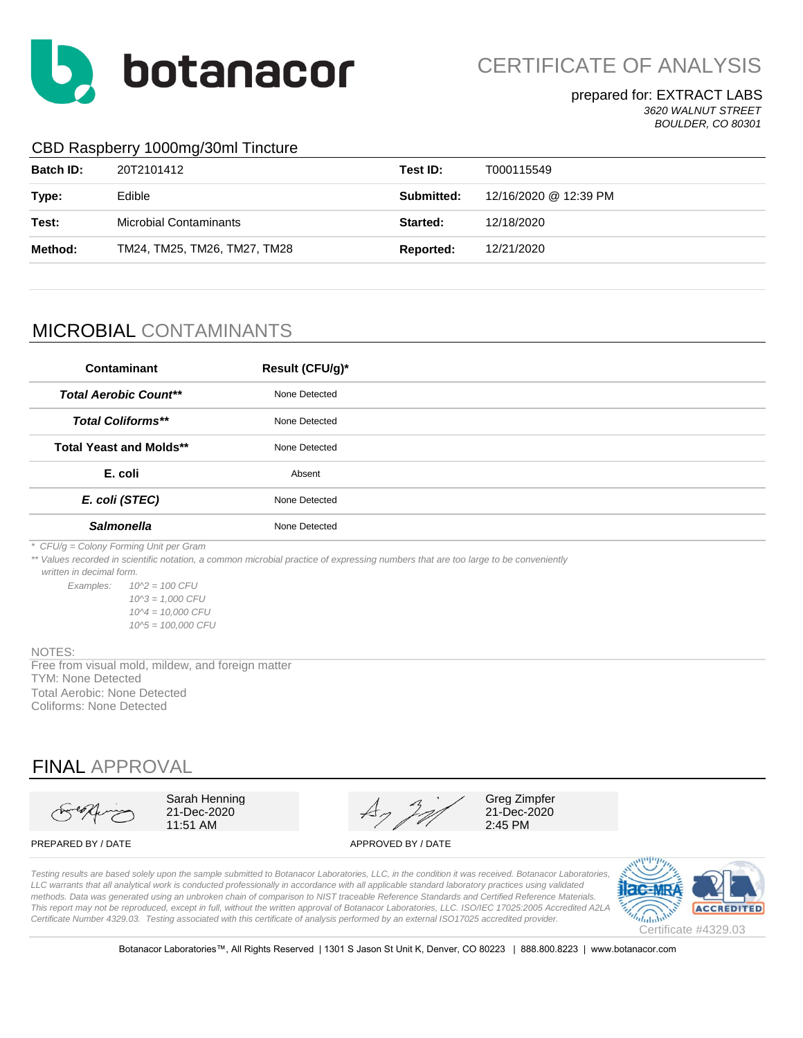

CERTIFICATE OF ANALYSIS

#### prepared for: EXTRACT LABS *3620 WALNUT STREET BOULDER, CO 80301*

### CBD Raspberry 1000mg/30ml Tincture

| <b>Batch ID:</b> | 20T2101412                    | Test ID:   | T000115549            |
|------------------|-------------------------------|------------|-----------------------|
| Type:            | Edible                        | Submitted: | 12/16/2020 @ 12:39 PM |
| Test:            | <b>Microbial Contaminants</b> | Started:   | 12/18/2020            |
| Method:          | TM24, TM25, TM26, TM27, TM28  | Reported:  | 12/21/2020            |
|                  |                               |            |                       |

# MICROBIAL CONTAMINANTS

| Contaminant                    | Result (CFU/g)* |
|--------------------------------|-----------------|
| <b>Total Aerobic Count**</b>   | None Detected   |
| <b>Total Coliforms**</b>       | None Detected   |
| <b>Total Yeast and Molds**</b> | None Detected   |
| E. coli                        | Absent          |
| E. coli (STEC)                 | None Detected   |
| <b>Salmonella</b>              | None Detected   |

*\* CFU/g = Colony Forming Unit per Gram*

*\*\* Values recorded in scientific notation, a common microbial practice of expressing numbers that are too large to be conveniently* 

 *written in decimal form.*

*Examples: 10^2 = 100 CFU 10^3 = 1,000 CFU 10^4 = 10,000 CFU 10^5 = 100,000 CFU*

#### NOTES:

Total Aerobic: None Detected Coliforms: None Detected TYM: None Detected Free from visual mold, mildew, and foreign matter

# FINAL APPROVAL

Sarah Henning 21-Dec-2020 11:51 AM

Greg Zimpfer 21-Dec-2020 2:45 PM

#### PREPARED BY / DATE APPROVED BY / DATE

*Testing results are based solely upon the sample submitted to Botanacor Laboratories, LLC, in the condition it was received. Botanacor Laboratories,*  LLC warrants that all analytical work is conducted professionally in accordance with all applicable standard laboratory practices using validated *methods. Data was generated using an unbroken chain of comparison to NIST traceable Reference Standards and Certified Reference Materials. This report may not be reproduced, except in full, without the written approval of Botanacor Laboratories, LLC. ISO/IEC 17025:2005 Accredited A2LA Certificate Number 4329.03. Testing associated with this certificate of analysis performed by an external ISO17025 accredited provider.*



Botanacor Laboratories™, All Rights Reserved | 1301 S Jason St Unit K, Denver, CO 80223 | 888.800.8223 | www.botanacor.com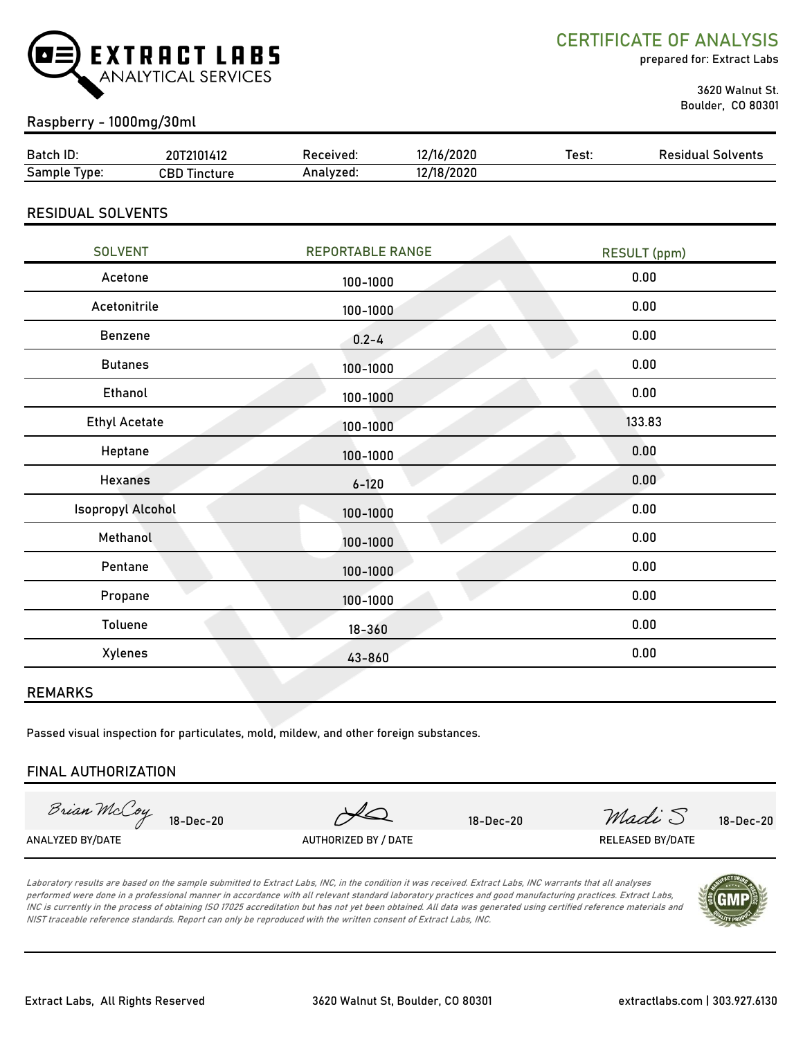

CERTIFICATE OF ANALYSIS

prepared for: Extract Labs

 3620 Walnut St. Boulder, CO 80301

## Raspberry - 1000mg/30ml

| Batch ID:       | 72101412<br>ה ה<br>zu. | Received: | 12/16/2020 | ⊺est: | Residual<br>Solvents |
|-----------------|------------------------|-----------|------------|-------|----------------------|
| Sample<br>'vpe: | CBD<br>Tincture        | Analvzed: | /18/2020   |       |                      |

RESIDUAL SOLVENTS

| <b>REPORTABLE RANGE</b> | <b>RESULT</b> (ppm) |
|-------------------------|---------------------|
| 100-1000                | 0.00                |
| 100-1000                | 0.00                |
| $0.2 - 4$               | 0.00                |
| 100-1000                | 0.00                |
| 100-1000                | 0.00                |
| 100-1000                | 133.83              |
| 100-1000                | 0.00                |
| $6 - 120$               | 0.00                |
| 100-1000                | 0.00                |
| 100-1000                | 0.00                |
| 100-1000                | 0.00                |
| 100-1000                | 0.00                |
| $18 - 360$              | 0.00                |
| 43-860                  | 0.00                |
|                         |                     |

#### REMARKS

Passed visual inspection for particulates, mold, mildew, and other foreign substances.

#### FINAL AUTHORIZATION

Brian McCoy

18-Dec-20 18-Dec-20  $\mathcal{A} \Omega$  18-Dec-20  $\mathcal{M}$  18-Dec-20  $\mathcal{M}$   $\mathcal{A} \cup \mathcal{S}$  18-Dec-20

ANALYZED BY/DATE AUTHORIZED BY / DATE AUTHORIZED BY / DATE RELEASED BY/DATE

Laboratory results are based on the sample submitted to Extract Labs, INC, in the condition it was received. Extract Labs, INC warrants that all analyses performed were done in a professional manner in accordance with all relevant standard laboratory practices and good manufacturing practices. Extract Labs, INC is currently in the process of obtaining ISO 17025 accreditation but has not yet been obtained. All data was generated using certified reference materials and NIST traceable reference standards. Report can only be reproduced with the written consent of Extract Labs, INC.